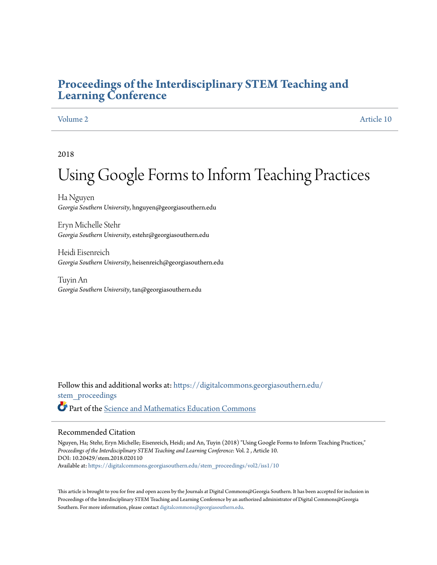# **[Proceedings of the Interdisciplinary STEM Teaching and](https://digitalcommons.georgiasouthern.edu/stem_proceedings?utm_source=digitalcommons.georgiasouthern.edu%2Fstem_proceedings%2Fvol2%2Fiss1%2F10&utm_medium=PDF&utm_campaign=PDFCoverPages) [Learning Conference](https://digitalcommons.georgiasouthern.edu/stem_proceedings?utm_source=digitalcommons.georgiasouthern.edu%2Fstem_proceedings%2Fvol2%2Fiss1%2F10&utm_medium=PDF&utm_campaign=PDFCoverPages)**

[Volume 2](https://digitalcommons.georgiasouthern.edu/stem_proceedings/vol2?utm_source=digitalcommons.georgiasouthern.edu%2Fstem_proceedings%2Fvol2%2Fiss1%2F10&utm_medium=PDF&utm_campaign=PDFCoverPages) [Article 10](https://digitalcommons.georgiasouthern.edu/stem_proceedings/vol2/iss1/10?utm_source=digitalcommons.georgiasouthern.edu%2Fstem_proceedings%2Fvol2%2Fiss1%2F10&utm_medium=PDF&utm_campaign=PDFCoverPages)

2018

# Using Google Forms to Inform Teaching Practices

Ha Nguyen *Georgia Southern University*, hnguyen@georgiasouthern.edu

Eryn Michelle Stehr *Georgia Southern University*, estehr@georgiasouthern.edu

Heidi Eisenreich *Georgia Southern University*, heisenreich@georgiasouthern.edu

Tuyin An *Georgia Southern University*, tan@georgiasouthern.edu

Follow this and additional works at: [https://digitalcommons.georgiasouthern.edu/](https://digitalcommons.georgiasouthern.edu/stem_proceedings?utm_source=digitalcommons.georgiasouthern.edu%2Fstem_proceedings%2Fvol2%2Fiss1%2F10&utm_medium=PDF&utm_campaign=PDFCoverPages) [stem\\_proceedings](https://digitalcommons.georgiasouthern.edu/stem_proceedings?utm_source=digitalcommons.georgiasouthern.edu%2Fstem_proceedings%2Fvol2%2Fiss1%2F10&utm_medium=PDF&utm_campaign=PDFCoverPages) Part of the [Science and Mathematics Education Commons](http://network.bepress.com/hgg/discipline/800?utm_source=digitalcommons.georgiasouthern.edu%2Fstem_proceedings%2Fvol2%2Fiss1%2F10&utm_medium=PDF&utm_campaign=PDFCoverPages)

#### Recommended Citation

Nguyen, Ha; Stehr, Eryn Michelle; Eisenreich, Heidi; and An, Tuyin (2018) "Using Google Forms to Inform Teaching Practices," *Proceedings of the Interdisciplinary STEM Teaching and Learning Conference*: Vol. 2 , Article 10. DOI: 10.20429/stem.2018.020110 Available at: [https://digitalcommons.georgiasouthern.edu/stem\\_proceedings/vol2/iss1/10](https://digitalcommons.georgiasouthern.edu/stem_proceedings/vol2/iss1/10?utm_source=digitalcommons.georgiasouthern.edu%2Fstem_proceedings%2Fvol2%2Fiss1%2F10&utm_medium=PDF&utm_campaign=PDFCoverPages)

This article is brought to you for free and open access by the Journals at Digital Commons@Georgia Southern. It has been accepted for inclusion in Proceedings of the Interdisciplinary STEM Teaching and Learning Conference by an authorized administrator of Digital Commons@Georgia Southern. For more information, please contact [digitalcommons@georgiasouthern.edu.](mailto:digitalcommons@georgiasouthern.edu)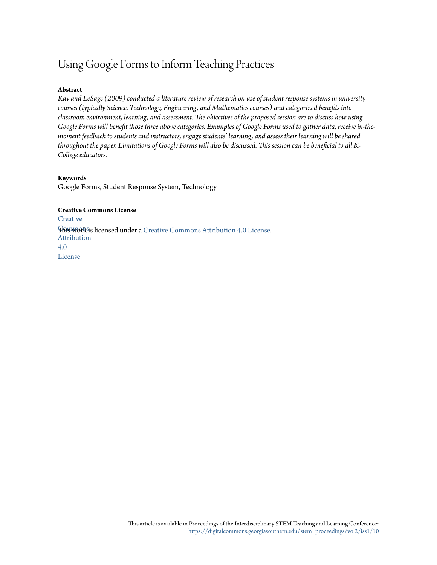# Using Google Forms to Inform Teaching Practices

### **Abstract**

*Kay and LeSage (2009) conducted a literature review of research on use of student response systems in university courses (typically Science, Technology, Engineering, and Mathematics courses) and categorized benefits into classroom environment, learning, and assessment. The objectives of the proposed session are to discuss how using Google Forms will benefit those three above categories. Examples of Google Forms used to gather data, receive in-themoment feedback to students and instructors, engage students' learning, and assess their learning will be shared throughout the paper. Limitations of Google Forms will also be discussed. This session can be beneficial to all K-College educators.*

#### **Keywords**

Google Forms, Student Response System, Technology

**Creative Commons License [Creative](http://creativecommons.org/licenses/by/4.0/) This work is licensed under a** [Creative Commons Attribution 4.0 License.](http://creativecommons.org/licenses/by/4.0/) Attribution 4.0 License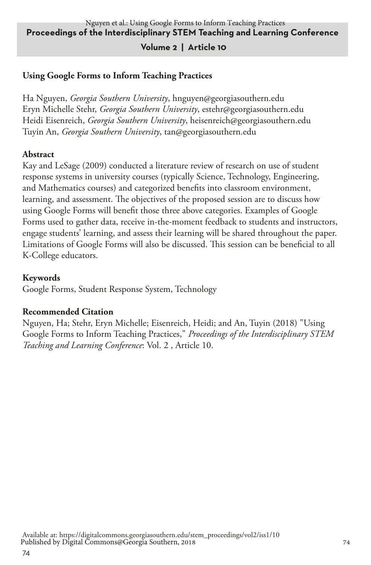#### **Proceedings of the Interdisciplinary STEM Teaching and Learning Conference** Nguyen et al.: Using Google Forms to Inform Teaching Practices

#### **Volume 2 | Article 10**

#### **Using Google Forms to Inform Teaching Practices**

Ha Nguyen, *Georgia Southern University*, hnguyen@georgiasouthern.edu Eryn Michelle Stehr, *Georgia Southern University*, estehr@georgiasouthern.edu Heidi Eisenreich, *Georgia Southern University*, heisenreich@georgiasouthern.edu Tuyin An, *Georgia Southern University*, tan@georgiasouthern.edu

#### **Abstract**

Kay and LeSage (2009) conducted a literature review of research on use of student response systems in university courses (typically Science, Technology, Engineering, and Mathematics courses) and categorized benefits into classroom environment, learning, and assessment. The objectives of the proposed session are to discuss how using Google Forms will benefit those three above categories. Examples of Google Forms used to gather data, receive in-the-moment feedback to students and instructors, engage students' learning, and assess their learning will be shared throughout the paper. Limitations of Google Forms will also be discussed. This session can be beneficial to all K-College educators.

#### **Keywords**

Google Forms, Student Response System, Technology

#### **Recommended Citation**

Nguyen, Ha; Stehr, Eryn Michelle; Eisenreich, Heidi; and An, Tuyin (2018) "Using Google Forms to Inform Teaching Practices," *Proceedings of the Interdisciplinary STEM Teaching and Learning Conference*: Vol. 2 , Article 10.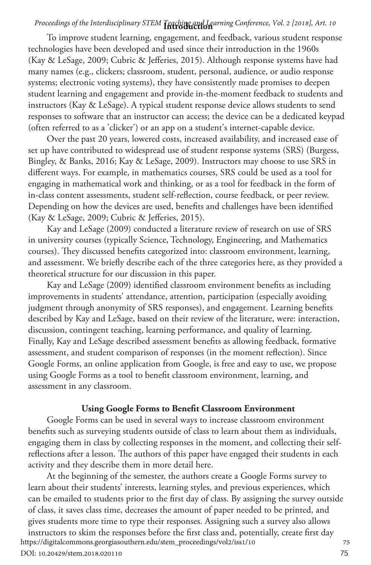## **Introduction** *Proceedings of the Interdisciplinary STEM Teaching and Learning Conference, Vol. 2 [2018], Art. 10*

To improve student learning, engagement, and feedback, various student response technologies have been developed and used since their introduction in the 1960s (Kay & LeSage, 2009; Cubric & Jefferies, 2015). Although response systems have had many names (e.g., clickers; classroom, student, personal, audience, or audio response systems; electronic voting systems), they have consistently made promises to deepen student learning and engagement and provide in-the-moment feedback to students and instructors (Kay & LeSage). A typical student response device allows students to send responses to software that an instructor can access; the device can be a dedicated keypad (often referred to as a 'clicker') or an app on a student's internet-capable device.

Over the past 20 years, lowered costs, increased availability, and increased ease of set up have contributed to widespread use of student response systems (SRS) (Burgess, Bingley, & Banks, 2016; Kay & LeSage, 2009). Instructors may choose to use SRS in different ways. For example, in mathematics courses, SRS could be used as a tool for engaging in mathematical work and thinking, or as a tool for feedback in the form of in-class content assessments, student self-reflection, course feedback, or peer review. Depending on how the devices are used, benefits and challenges have been identified (Kay & LeSage, 2009; Cubric & Jefferies, 2015).

Kay and LeSage (2009) conducted a literature review of research on use of SRS in university courses (typically Science, Technology, Engineering, and Mathematics courses). They discussed benefits categorized into: classroom environment, learning, and assessment. We briefly describe each of the three categories here, as they provided a theoretical structure for our discussion in this paper.

Kay and LeSage (2009) identified classroom environment benefits as including improvements in students' attendance, attention, participation (especially avoiding judgment through anonymity of SRS responses), and engagement. Learning benefits described by Kay and LeSage, based on their review of the literature, were: interaction, discussion, contingent teaching, learning performance, and quality of learning. Finally, Kay and LeSage described assessment benefits as allowing feedback, formative assessment, and student comparison of responses (in the moment reflection). Since Google Forms, an online application from Google, is free and easy to use, we propose using Google Forms as a tool to benefit classroom environment, learning, and assessment in any classroom.

#### **Using Google Forms to Benefit Classroom Environment**

Google Forms can be used in several ways to increase classroom environment benefits such as surveying students outside of class to learn about them as individuals, engaging them in class by collecting responses in the moment, and collecting their selfreflections after a lesson. The authors of this paper have engaged their students in each activity and they describe them in more detail here.

At the beginning of the semester, the authors create a Google Forms survey to learn about their students' interests, learning styles, and previous experiences, which can be emailed to students prior to the first day of class. By assigning the survey outside of class, it saves class time, decreases the amount of paper needed to be printed, and gives students more time to type their responses. Assigning such a survey also allows

instructors to skim the responses before the first class and, potentially, create first day <sup>75</sup> https://digitalcommons.georgiasouthern.edu/stem\_proceedings/vol2/iss1/10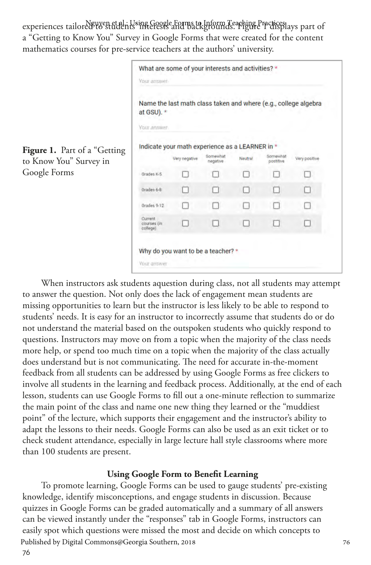experiences tailored to students in Using Google Forms to Unform Teaching Prectises)<br>Name of the Splays part of a "Getting to Know You" Survey in Google Forms that were created for the content mathematics courses for pre-service teachers at the authors' university.

|                              | Your answer                        | What are some of your interests and activities? *               |                      |                |                       |               |
|------------------------------|------------------------------------|-----------------------------------------------------------------|----------------------|----------------|-----------------------|---------------|
|                              | at GSU). *<br>Your answer          | Name the last math class taken and where (e.g., college algebra |                      |                |                       |               |
| Figure 1. Part of a "Getting |                                    | Indicate your math experience as a LEARNER in *                 |                      |                |                       |               |
| to Know You" Survey in       |                                    | Very negative                                                   | Somewhat<br>negative | <b>Neutral</b> | Somewhat<br>postitive | Very positive |
| Google Forms                 | Grades K-5                         |                                                                 |                      |                |                       |               |
|                              | Grades 6-8                         |                                                                 | n.                   |                |                       |               |
|                              | Grades 9-12                        |                                                                 |                      |                |                       |               |
|                              | Current<br>courses (in<br>college) |                                                                 |                      |                |                       |               |
|                              | <b>Your answer</b>                 | Why do you want to be a teacher? *                              |                      |                |                       |               |

When instructors ask students aquestion during class, not all students may attempt to answer the question. Not only does the lack of engagement mean students are missing opportunities to learn but the instructor is less likely to be able to respond to students' needs. It is easy for an instructor to incorrectly assume that students do or do not understand the material based on the outspoken students who quickly respond to questions. Instructors may move on from a topic when the majority of the class needs more help, or spend too much time on a topic when the majority of the class actually does understand but is not communicating. The need for accurate in-the-moment feedback from all students can be addressed by using Google Forms as free clickers to involve all students in the learning and feedback process. Additionally, at the end of each lesson, students can use Google Forms to fill out a one-minute reflection to summarize the main point of the class and name one new thing they learned or the "muddiest point" of the lecture, which supports their engagement and the instructor's ability to adapt the lessons to their needs. Google Forms can also be used as an exit ticket or to check student attendance, especially in large lecture hall style classrooms where more than 100 students are present.

#### **Using Google Form to Benefit Learning**

To promote learning, Google Forms can be used to gauge students' pre-existing knowledge, identify misconceptions, and engage students in discussion. Because quizzes in Google Forms can be graded automatically and a summary of all answers can be viewed instantly under the "responses" tab in Google Forms, instructors can easily spot which questions were missed the most and decide on which concepts to Published by Digital Commons@Georgia Southern, 2018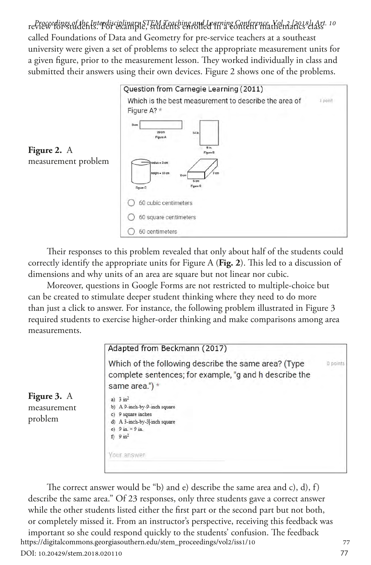review for students. For example, students enrolled in a content mathematics class *Proceedings of the Interdisciplinary STEM Teaching and Learning Conference, Vol. 2 [2018], Art. 10* called Foundations of Data and Geometry for pre-service teachers at a southeast university were given a set of problems to select the appropriate measurement units for a given figure, prior to the measurement lesson. They worked individually in class and submitted their answers using their own devices. Figure 2 shows one of the problems.



Their responses to this problem revealed that only about half of the students could correctly identify the appropriate units for Figure A (**Fig. 2**). This led to a discussion of dimensions and why units of an area are square but not linear nor cubic.

Moreover, questions in Google Forms are not restricted to multiple-choice but can be created to stimulate deeper student thinking where they need to do more than just a click to answer. For instance, the following problem illustrated in Figure 3 required students to exercise higher-order thinking and make comparisons among area measurements.



The correct answer would be "b) and e) describe the same area and c), d), f) describe the same area." Of 23 responses, only three students gave a correct answer while the other students listed either the first part or the second part but not both, or completely missed it. From an instructor's perspective, receiving this feedback was important so she could respond quickly to the students' confusion. The feedback 77<br>the://digitalcommons.georgiasouthern.edu/stem\_proceedings/vol2/iss1/10 https://digitalcommons.georgiasouthern.edu/stem\_proceedings/vol2/iss1/10 DOI: 10.20429/stem.2018.020110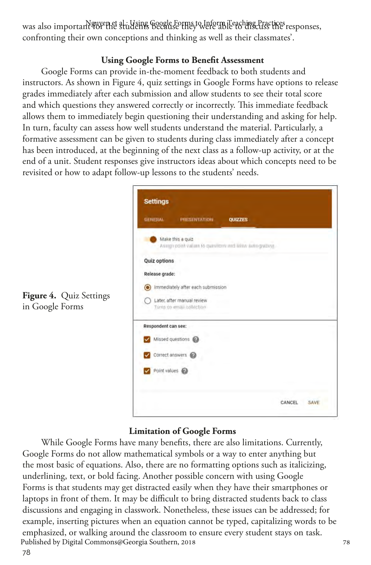was also important <del>quyenet</del> al. Haing Google Forms to Inform Teaching Practices responses, confronting their own conceptions and thinking as well as their classmates'.

#### **Using Google Forms to Benefit Assessment**

Google Forms can provide in-the-moment feedback to both students and instructors. As shown in Figure 4, quiz settings in Google Forms have options to release grades immediately after each submission and allow students to see their total score and which questions they answered correctly or incorrectly. This immediate feedback allows them to immediately begin questioning their understanding and asking for help. In turn, faculty can assess how well students understand the material. Particularly, a formative assessment can be given to students during class immediately after a concept has been introduced, at the beginning of the next class as a follow-up activity, or at the end of a unit. Student responses give instructors ideas about which concepts need to be revisited or how to adapt follow-up lessons to the students' needs.

|                     | <b>PRESENTATION</b>                                                        | <b>QUIZZES</b> |  |
|---------------------|----------------------------------------------------------------------------|----------------|--|
|                     | Make this a guiz<br>Assemption values to questions and allow subs-grazing. |                |  |
| <b>Quiz options</b> | ×                                                                          |                |  |
| Release grade:      |                                                                            |                |  |
|                     | mmediately after each submission                                           |                |  |
|                     | Later, after manual review<br>Turns on email collection                    |                |  |
| Respondent can see: |                                                                            |                |  |
|                     | Missed questions                                                           |                |  |
|                     | Correct answers                                                            |                |  |
| Point values        |                                                                            |                |  |

#### **Limitation of Google Forms**

While Google Forms have many benefits, there are also limitations. Currently, Google Forms do not allow mathematical symbols or a way to enter anything but the most basic of equations. Also, there are no formatting options such as italicizing, underlining, text, or bold facing. Another possible concern with using Google Forms is that students may get distracted easily when they have their smartphones or laptops in front of them. It may be difficult to bring distracted students back to class discussions and engaging in classwork. Nonetheless, these issues can be addressed; for example, inserting pictures when an equation cannot be typed, capitalizing words to be emphasized, or walking around the classroom to ensure every student stays on task. 78<br>Published by Digital Commons@Georgia Southern, 2018 Published by Digital Commons@Georgia Southern, 2018

**Figure 4.** Quiz Settings in Google Forms